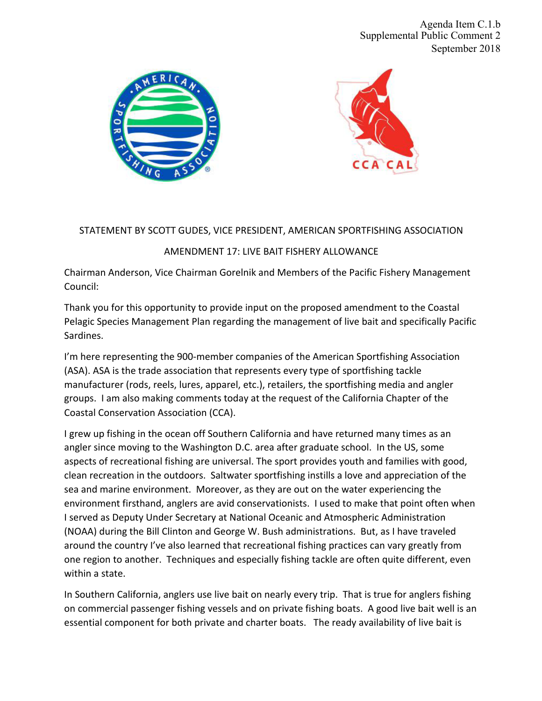



# STATEMENT BY SCOTT GUDES, VICE PRESIDENT, AMERICAN SPORTFISHING ASSOCIATION

### AMENDMENT 17: LIVE BAIT FISHERY ALLOWANCE

Chairman Anderson, Vice Chairman Gorelnik and Members of the Pacific Fishery Management Council:

Thank you for this opportunity to provide input on the proposed amendment to the Coastal Pelagic Species Management Plan regarding the management of live bait and specifically Pacific Sardines. 

I'm here representing the 900-member companies of the American Sportfishing Association (ASA). ASA is the trade association that represents every type of sportfishing tackle manufacturer (rods, reels, lures, apparel, etc.), retailers, the sportfishing media and angler groups. I am also making comments today at the request of the California Chapter of the Coastal Conservation Association (CCA).

I grew up fishing in the ocean off Southern California and have returned many times as an angler since moving to the Washington D.C. area after graduate school. In the US, some aspects of recreational fishing are universal. The sport provides youth and families with good, clean recreation in the outdoors. Saltwater sportfishing instills a love and appreciation of the sea and marine environment. Moreover, as they are out on the water experiencing the environment firsthand, anglers are avid conservationists. I used to make that point often when I served as Deputy Under Secretary at National Oceanic and Atmospheric Administration (NOAA) during the Bill Clinton and George W. Bush administrations. But, as I have traveled around the country I've also learned that recreational fishing practices can vary greatly from one region to another. Techniques and especially fishing tackle are often quite different, even within a state.

In Southern California, anglers use live bait on nearly every trip. That is true for anglers fishing on commercial passenger fishing vessels and on private fishing boats. A good live bait well is an essential component for both private and charter boats. The ready availability of live bait is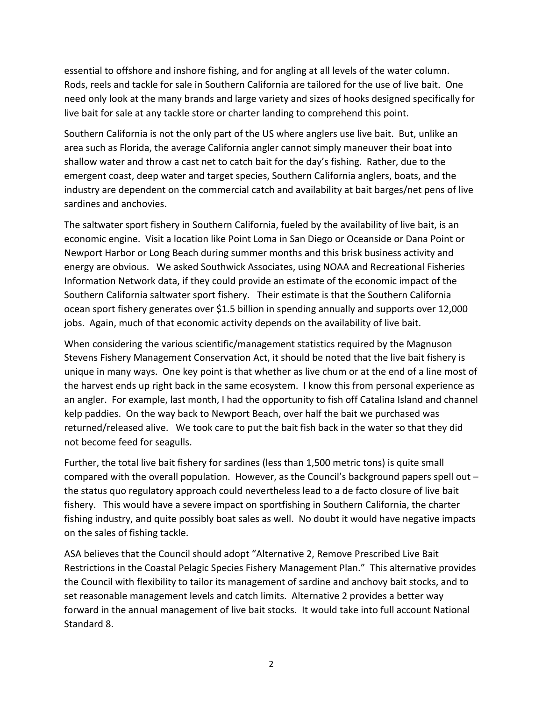essential to offshore and inshore fishing, and for angling at all levels of the water column. Rods, reels and tackle for sale in Southern California are tailored for the use of live bait. One need only look at the many brands and large variety and sizes of hooks designed specifically for live bait for sale at any tackle store or charter landing to comprehend this point.

Southern California is not the only part of the US where anglers use live bait. But, unlike an area such as Florida, the average California angler cannot simply maneuver their boat into shallow water and throw a cast net to catch bait for the day's fishing. Rather, due to the emergent coast, deep water and target species, Southern California anglers, boats, and the industry are dependent on the commercial catch and availability at bait barges/net pens of live sardines and anchovies.

The saltwater sport fishery in Southern California, fueled by the availability of live bait, is an economic engine. Visit a location like Point Loma in San Diego or Oceanside or Dana Point or Newport Harbor or Long Beach during summer months and this brisk business activity and energy are obvious. We asked Southwick Associates, using NOAA and Recreational Fisheries Information Network data, if they could provide an estimate of the economic impact of the Southern California saltwater sport fishery. Their estimate is that the Southern California ocean sport fishery generates over \$1.5 billion in spending annually and supports over 12,000 jobs. Again, much of that economic activity depends on the availability of live bait.

When considering the various scientific/management statistics required by the Magnuson Stevens Fishery Management Conservation Act, it should be noted that the live bait fishery is unique in many ways. One key point is that whether as live chum or at the end of a line most of the harvest ends up right back in the same ecosystem. I know this from personal experience as an angler. For example, last month, I had the opportunity to fish off Catalina Island and channel kelp paddies. On the way back to Newport Beach, over half the bait we purchased was returned/released alive. We took care to put the bait fish back in the water so that they did not become feed for seagulls.

Further, the total live bait fishery for sardines (less than 1,500 metric tons) is quite small compared with the overall population. However, as the Council's background papers spell out the status quo regulatory approach could nevertheless lead to a de facto closure of live bait fishery. This would have a severe impact on sportfishing in Southern California, the charter fishing industry, and quite possibly boat sales as well. No doubt it would have negative impacts on the sales of fishing tackle.

ASA believes that the Council should adopt "Alternative 2, Remove Prescribed Live Bait Restrictions in the Coastal Pelagic Species Fishery Management Plan." This alternative provides the Council with flexibility to tailor its management of sardine and anchovy bait stocks, and to set reasonable management levels and catch limits. Alternative 2 provides a better way forward in the annual management of live bait stocks. It would take into full account National Standard 8.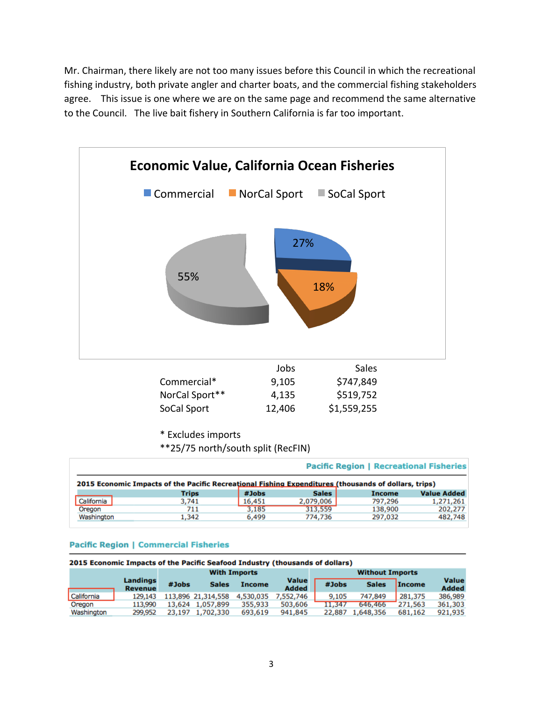Mr. Chairman, there likely are not too many issues before this Council in which the recreational fishing industry, both private angler and charter boats, and the commercial fishing stakeholders agree. This issue is one where we are on the same page and recommend the same alternative to the Council. The live bait fishery in Southern California is far too important.



\* Excludes imports 

\*\*25/75 north/south split (RecFIN)

|            |                                                                                                      |        |              | <b>Pacific Region   Recreational Fisheries</b> |                    |
|------------|------------------------------------------------------------------------------------------------------|--------|--------------|------------------------------------------------|--------------------|
|            | 2015 Economic Impacts of the Pacific Recreational Fishing Expenditures (thousands of dollars, trips) |        |              |                                                |                    |
|            | <b>Trips</b>                                                                                         | #Jobs  | <b>Sales</b> | <b>Income</b>                                  | <b>Value Added</b> |
| California | 3,741                                                                                                | 16,451 | 2,079,006    | 797,296                                        | 1,271,261          |
| Oregon     | 711                                                                                                  | 3,185  | 313,559      | 138,900                                        | 202.277            |
| Washington | 1,342                                                                                                | 6,499  | 774,736      | 297,032                                        | 482,748            |

#### **Pacific Region | Commercial Fisheries**

| 2015 Economic Impacts of the Pacific Seafood Industry (thousands of dollars) |                            |        |                    |                        |                              |        |              |               |                              |
|------------------------------------------------------------------------------|----------------------------|--------|--------------------|------------------------|------------------------------|--------|--------------|---------------|------------------------------|
|                                                                              | <b>With Imports</b>        |        |                    | <b>Without Imports</b> |                              |        |              |               |                              |
|                                                                              | Landings<br><b>Revenue</b> | #Jobs  | <b>Sales</b>       | <b>Income</b>          | <b>Value</b><br><b>Added</b> | #Jobs  | <b>Sales</b> | <b>Income</b> | <b>Value</b><br><b>Added</b> |
| California                                                                   | 129.143                    |        | 113,896 21,314,558 | 4,530,035              | 7,552,746                    | 9.105  | 747,849      | 281,375       | 386,989                      |
| Oregon                                                                       | 113,990                    | 13.624 | 1,057,899          | 355,933                | 503,606                      | 11.347 | 646,466      | 271,563       | 361,303                      |
| Washington                                                                   | 299.952                    | 23,197 | 1,702,330          | 693,619                | 941,845                      | 22,887 | 1,648,356    | 681,162       | 921,935                      |